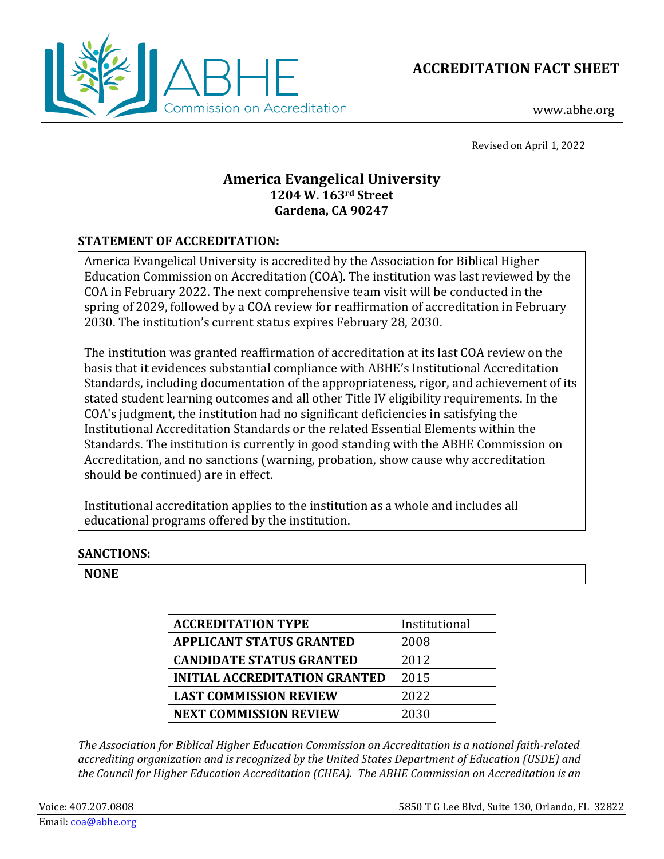



www.abhe.org

Revised on April 1, 2022

# **America Evangelical University 1204 W. 163rd Street Gardena, CA 90247**

# **STATEMENT OF ACCREDITATION:**

America Evangelical University is accredited by the Association for Biblical Higher Education Commission on Accreditation (COA). The institution was last reviewed by the COA in February 2022. The next comprehensive team visit will be conducted in the spring of 2029, followed by a COA review for reaffirmation of accreditation in February 2030. The institution's current status expires February 28, 2030.

The institution was granted reaffirmation of accreditation at its last COA review on the basis that it evidences substantial compliance with ABHE's Institutional Accreditation Standards, including documentation of the appropriateness, rigor, and achievement of its stated student learning outcomes and all other Title IV eligibility requirements. In the COA's judgment, the institution had no significant deficiencies in satisfying the Institutional Accreditation Standards or the related Essential Elements within the Standards. The institution is currently in good standing with the ABHE Commission on Accreditation, and no sanctions (warning, probation, show cause why accreditation should be continued) are in effect.

Institutional accreditation applies to the institution as a whole and includes all educational programs offered by the institution.

# **SANCTIONS:**

**NONE**

| <b>ACCREDITATION TYPE</b>            | Institutional |
|--------------------------------------|---------------|
| <b>APPLICANT STATUS GRANTED</b>      | 2008          |
| <b>CANDIDATE STATUS GRANTED</b>      | 2012          |
| <b>INITIAL ACCREDITATION GRANTED</b> | 2015          |
| <b>LAST COMMISSION REVIEW</b>        | 2022          |
| <b>NEXT COMMISSION REVIEW</b>        | 2030          |

*The Association for Biblical Higher Education Commission on Accreditation is a national faith-related accrediting organization and is recognized by the United States Department of Education (USDE) and the Council for Higher Education Accreditation (CHEA). The ABHE Commission on Accreditation is an*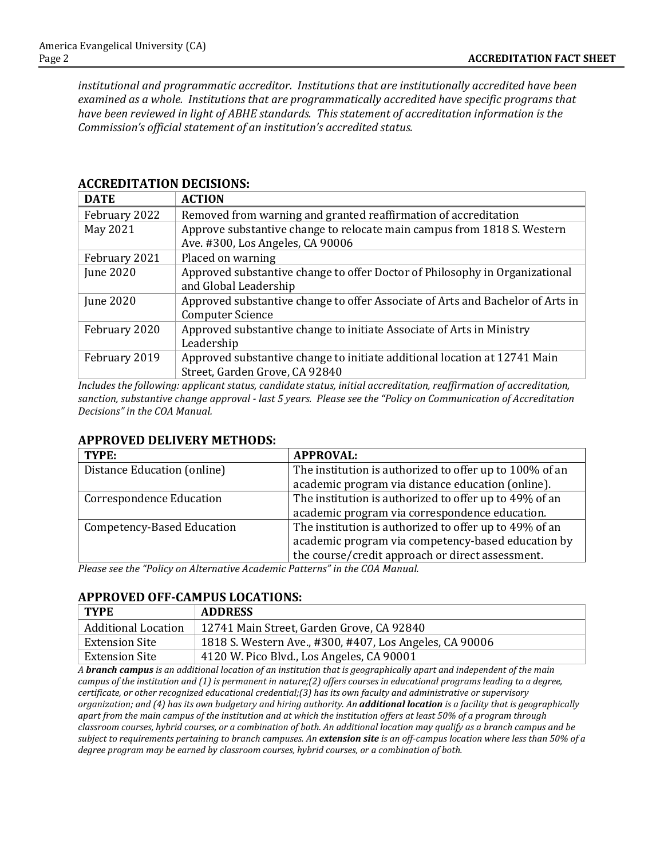*institutional and programmatic accreditor. Institutions that are institutionally accredited have been examined as a whole. Institutions that are programmatically accredited have specific programs that have been reviewed in light of ABHE standards. This statement of accreditation information is the Commission's official statement of an institution's accredited status.* 

| <b>DATE</b>      | <b>ACTION</b>                                                                  |
|------------------|--------------------------------------------------------------------------------|
| February 2022    | Removed from warning and granted reaffirmation of accreditation                |
| May 2021         | Approve substantive change to relocate main campus from 1818 S. Western        |
|                  | Ave. #300, Los Angeles, CA 90006                                               |
| February 2021    | Placed on warning                                                              |
| <b>June 2020</b> | Approved substantive change to offer Doctor of Philosophy in Organizational    |
|                  | and Global Leadership                                                          |
| <b>June 2020</b> | Approved substantive change to offer Associate of Arts and Bachelor of Arts in |
|                  | <b>Computer Science</b>                                                        |
| February 2020    | Approved substantive change to initiate Associate of Arts in Ministry          |
|                  | Leadership                                                                     |
| February 2019    | Approved substantive change to initiate additional location at 12741 Main      |
|                  | Street, Garden Grove, CA 92840                                                 |

# **ACCREDITATION DECISIONS:**

*Includes the following: applicant status, candidate status, initial accreditation, reaffirmation of accreditation, sanction, substantive change approval - last 5 years. Please see the "Policy on Communication of Accreditation Decisions" in the COA Manual.*

#### **APPROVED DELIVERY METHODS:**

| TYPE:                           | <b>APPROVAL:</b>                                        |
|---------------------------------|---------------------------------------------------------|
| Distance Education (online)     | The institution is authorized to offer up to 100% of an |
|                                 | academic program via distance education (online).       |
| <b>Correspondence Education</b> | The institution is authorized to offer up to 49% of an  |
|                                 | academic program via correspondence education.          |
| Competency-Based Education      | The institution is authorized to offer up to 49% of an  |
|                                 | academic program via competency-based education by      |
|                                 | the course/credit approach or direct assessment.        |

*Please see the "Policy on Alternative Academic Patterns" in the COA Manual.*

#### **APPROVED OFF-CAMPUS LOCATIONS:**

| <b>TYPE</b>                | <b>ADDRESS</b>                                          |
|----------------------------|---------------------------------------------------------|
| <b>Additional Location</b> | 12741 Main Street, Garden Grove, CA 92840               |
| <b>Extension Site</b>      | 1818 S. Western Ave., #300, #407, Los Angeles, CA 90006 |
| <b>Extension Site</b>      | 4120 W. Pico Blvd., Los Angeles, CA 90001               |

*A branch campus is an additional location of an institution that is geographically apart and independent of the main campus of the institution and (1) is permanent in nature;(2) offers courses in educational programs leading to a degree, certificate, or other recognized educational credential;(3) has its own faculty and administrative or supervisory organization; and (4) has its own budgetary and hiring authority. An additional location is a facility that is geographically apart from the main campus of the institution and at which the institution offers at least 50% of a program through classroom courses, hybrid courses, or a combination of both. An additional location may qualify as a branch campus and be subject to requirements pertaining to branch campuses. An extension site is an off-campus location where less than 50% of a degree program may be earned by classroom courses, hybrid courses, or a combination of both.*